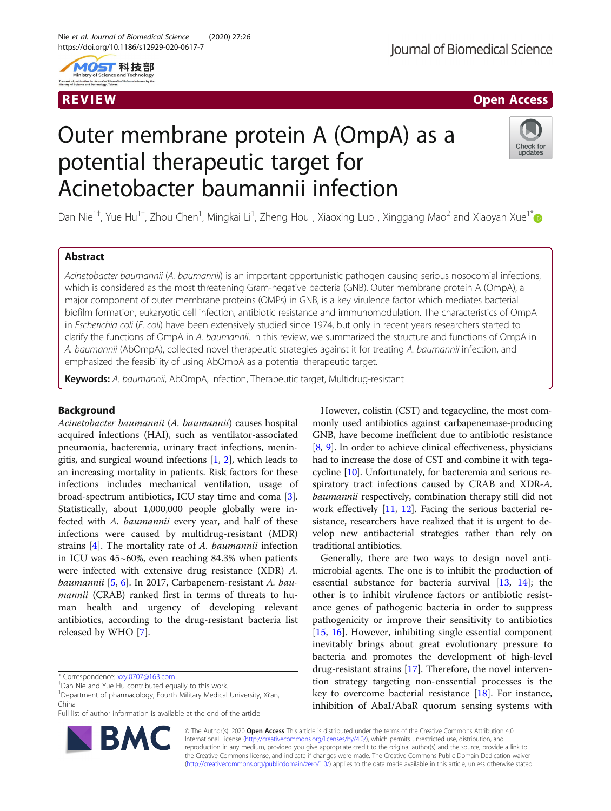

# R EVI EW Open Access

# Outer membrane protein A (OmpA) as a potential therapeutic target for Acinetobacter baumannii infection



Dan Nie<sup>1+</sup>, Yue Hu<sup>1†</sup>, Zhou Chen<sup>1</sup>, Mingkai Li<sup>1</sup>, Zheng Hou<sup>1</sup>, Xiaoxing Luo<sup>1</sup>, Xinggang Mao<sup>2</sup> and Xiaoyan Xue<sup>1[\\*](http://orcid.org/0000-0001-6646-8253)</sup>

# Abstract

Acinetobacter baumannii (A. baumannii) is an important opportunistic pathogen causing serious nosocomial infections, which is considered as the most threatening Gram-negative bacteria (GNB). Outer membrane protein A (OmpA), a major component of outer membrane proteins (OMPs) in GNB, is a key virulence factor which mediates bacterial biofilm formation, eukaryotic cell infection, antibiotic resistance and immunomodulation. The characteristics of OmpA in Escherichia coli (E. coli) have been extensively studied since 1974, but only in recent years researchers started to clarify the functions of OmpA in A. baumannii. In this review, we summarized the structure and functions of OmpA in A. baumannii (AbOmpA), collected novel therapeutic strategies against it for treating A. baumannii infection, and emphasized the feasibility of using AbOmpA as a potential therapeutic target.

Keywords: A. baumannii, AbOmpA, Infection, Therapeutic target, Multidrug-resistant

# Background

Acinetobacter baumannii (A. baumannii) causes hospital acquired infections (HAI), such as ventilator-associated pneumonia, bacteremia, urinary tract infections, meningitis, and surgical wound infections [[1,](#page-5-0) [2](#page-5-0)], which leads to an increasing mortality in patients. Risk factors for these infections includes mechanical ventilation, usage of broad-spectrum antibiotics, ICU stay time and coma [\[3](#page-5-0)]. Statistically, about 1,000,000 people globally were infected with A. baumannii every year, and half of these infections were caused by multidrug-resistant (MDR) strains [\[4\]](#page-5-0). The mortality rate of A. baumannii infection in ICU was 45~60%, even reaching 84.3% when patients were infected with extensive drug resistance (XDR) A. baumannii [[5,](#page-5-0) [6\]](#page-5-0). In 2017, Carbapenem-resistant A. baumannii (CRAB) ranked first in terms of threats to human health and urgency of developing relevant antibiotics, according to the drug-resistant bacteria list released by WHO [\[7](#page-5-0)].

Full list of author information is available at the end of the article



However, colistin (CST) and tegacycline, the most commonly used antibiotics against carbapenemase-producing GNB, have become inefficient due to antibiotic resistance [[8,](#page-5-0) [9\]](#page-5-0). In order to achieve clinical effectiveness, physicians had to increase the dose of CST and combine it with tegacycline [\[10\]](#page-5-0). Unfortunately, for bacteremia and serious respiratory tract infections caused by CRAB and XDR-A. baumannii respectively, combination therapy still did not work effectively [[11](#page-5-0), [12](#page-5-0)]. Facing the serious bacterial resistance, researchers have realized that it is urgent to develop new antibacterial strategies rather than rely on traditional antibiotics.

Generally, there are two ways to design novel antimicrobial agents. The one is to inhibit the production of essential substance for bacteria survival [[13,](#page-6-0) [14](#page-6-0)]; the other is to inhibit virulence factors or antibiotic resistance genes of pathogenic bacteria in order to suppress pathogenicity or improve their sensitivity to antibiotics [[15,](#page-6-0) [16](#page-6-0)]. However, inhibiting single essential component inevitably brings about great evolutionary pressure to bacteria and promotes the development of high-level drug-resistant strains [\[17](#page-6-0)]. Therefore, the novel intervention strategy targeting non-enssential processes is the key to overcome bacterial resistance [\[18](#page-6-0)]. For instance, inhibition of AbaI/AbaR quorum sensing systems with

© The Author(s). 2020 Open Access This article is distributed under the terms of the Creative Commons Attribution 4.0 International License [\(http://creativecommons.org/licenses/by/4.0/](http://creativecommons.org/licenses/by/4.0/)), which permits unrestricted use, distribution, and reproduction in any medium, provided you give appropriate credit to the original author(s) and the source, provide a link to the Creative Commons license, and indicate if changes were made. The Creative Commons Public Domain Dedication waiver [\(http://creativecommons.org/publicdomain/zero/1.0/](http://creativecommons.org/publicdomain/zero/1.0/)) applies to the data made available in this article, unless otherwise stated.

<sup>\*</sup> Correspondence: [xxy.0707@163.com](mailto:xxy.0707@163.com) †

<sup>&</sup>lt;sup>+</sup>Dan Nie and Yue Hu contributed equally to this work

<sup>&</sup>lt;sup>1</sup>Department of pharmacology, Fourth Military Medical University, Xi'an, China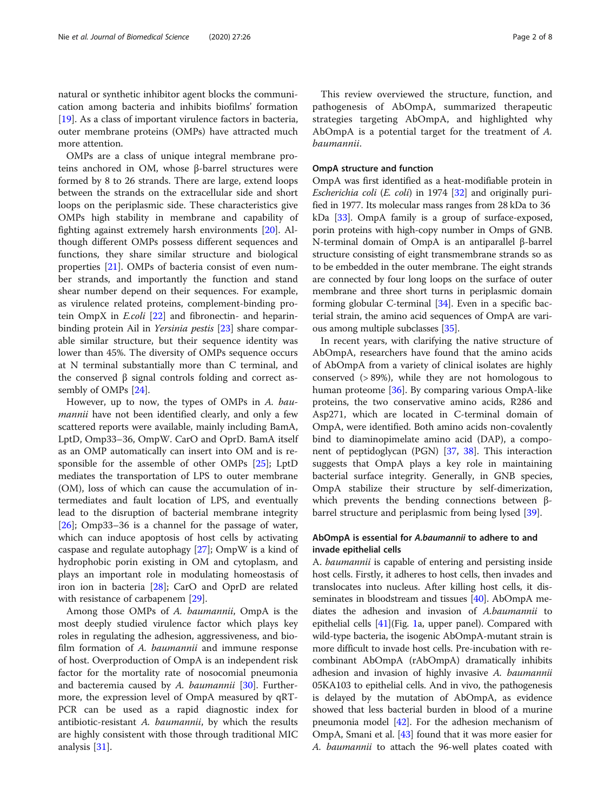natural or synthetic inhibitor agent blocks the communication among bacteria and inhibits biofilms' formation [[19\]](#page-6-0). As a class of important virulence factors in bacteria, outer membrane proteins (OMPs) have attracted much more attention.

OMPs are a class of unique integral membrane proteins anchored in OM, whose β-barrel structures were formed by 8 to 26 strands. There are large, extend loops between the strands on the extracellular side and short loops on the periplasmic side. These characteristics give OMPs high stability in membrane and capability of fighting against extremely harsh environments [\[20](#page-6-0)]. Although different OMPs possess different sequences and functions, they share similar structure and biological properties [[21\]](#page-6-0). OMPs of bacteria consist of even number strands, and importantly the function and stand shear number depend on their sequences. For example, as virulence related proteins, complement-binding protein OmpX in E.coli [[22\]](#page-6-0) and fibronectin- and heparin-binding protein Ail in Yersinia pestis [[23\]](#page-6-0) share comparable similar structure, but their sequence identity was lower than 45%. The diversity of OMPs sequence occurs at N terminal substantially more than C terminal, and the conserved β signal controls folding and correct assembly of OMPs [\[24\]](#page-6-0).

However, up to now, the types of OMPs in A. baumannii have not been identified clearly, and only a few scattered reports were available, mainly including BamA, LptD, Omp33–36, OmpW. CarO and OprD. BamA itself as an OMP automatically can insert into OM and is responsible for the assemble of other OMPs [\[25](#page-6-0)]; LptD mediates the transportation of LPS to outer membrane (OM), loss of which can cause the accumulation of intermediates and fault location of LPS, and eventually lead to the disruption of bacterial membrane integrity [[26\]](#page-6-0); Omp33–36 is a channel for the passage of water, which can induce apoptosis of host cells by activating caspase and regulate autophagy [\[27](#page-6-0)]; OmpW is a kind of hydrophobic porin existing in OM and cytoplasm, and plays an important role in modulating homeostasis of iron ion in bacteria [\[28](#page-6-0)]; CarO and OprD are related with resistance of carbapenem [\[29\]](#page-6-0).

Among those OMPs of A. baumannii, OmpA is the most deeply studied virulence factor which plays key roles in regulating the adhesion, aggressiveness, and biofilm formation of A. baumannii and immune response of host. Overproduction of OmpA is an independent risk factor for the mortality rate of nosocomial pneumonia and bacteremia caused by A. baumannii  $[30]$  $[30]$ . Furthermore, the expression level of OmpA measured by qRT-PCR can be used as a rapid diagnostic index for antibiotic-resistant A. baumannii, by which the results are highly consistent with those through traditional MIC analysis [\[31\]](#page-6-0).

This review overviewed the structure, function, and pathogenesis of AbOmpA, summarized therapeutic strategies targeting AbOmpA, and highlighted why AbOmpA is a potential target for the treatment of A. baumannii.

# OmpA structure and function

OmpA was first identified as a heat-modifiable protein in Escherichia coli (E. coli) in 1974 [\[32\]](#page-6-0) and originally purified in 1977. Its molecular mass ranges from 28 kDa to 36 kDa [\[33\]](#page-6-0). OmpA family is a group of surface-exposed, porin proteins with high-copy number in Omps of GNB. N-terminal domain of OmpA is an antiparallel β-barrel structure consisting of eight transmembrane strands so as to be embedded in the outer membrane. The eight strands are connected by four long loops on the surface of outer membrane and three short turns in periplasmic domain forming globular C-terminal [\[34\]](#page-6-0). Even in a specific bacterial strain, the amino acid sequences of OmpA are various among multiple subclasses [\[35](#page-6-0)].

In recent years, with clarifying the native structure of AbOmpA, researchers have found that the amino acids of AbOmpA from a variety of clinical isolates are highly conserved (> 89%), while they are not homologous to human proteome [[36\]](#page-6-0). By comparing various OmpA-like proteins, the two conservative amino acids, R286 and Asp271, which are located in C-terminal domain of OmpA, were identified. Both amino acids non-covalently bind to diaminopimelate amino acid (DAP), a component of peptidoglycan (PGN) [[37](#page-6-0), [38\]](#page-6-0). This interaction suggests that OmpA plays a key role in maintaining bacterial surface integrity. Generally, in GNB species, OmpA stabilize their structure by self-dimerization, which prevents the bending connections between βbarrel structure and periplasmic from being lysed [[39](#page-6-0)].

# AbOmpA is essential for A.baumannii to adhere to and invade epithelial cells

A. baumannii is capable of entering and persisting inside host cells. Firstly, it adheres to host cells, then invades and translocates into nucleus. After killing host cells, it disseminates in bloodstream and tissues [[40](#page-6-0)]. AbOmpA mediates the adhesion and invasion of A.baumannii to epithelial cells [[41](#page-6-0)](Fig. [1](#page-2-0)a, upper panel). Compared with wild-type bacteria, the isogenic AbOmpA-mutant strain is more difficult to invade host cells. Pre-incubation with recombinant AbOmpA (rAbOmpA) dramatically inhibits adhesion and invasion of highly invasive A. baumannii 05KA103 to epithelial cells. And in vivo, the pathogenesis is delayed by the mutation of AbOmpA, as evidence showed that less bacterial burden in blood of a murine pneumonia model [[42](#page-6-0)]. For the adhesion mechanism of OmpA, Smani et al. [[43](#page-6-0)] found that it was more easier for A. baumannii to attach the 96-well plates coated with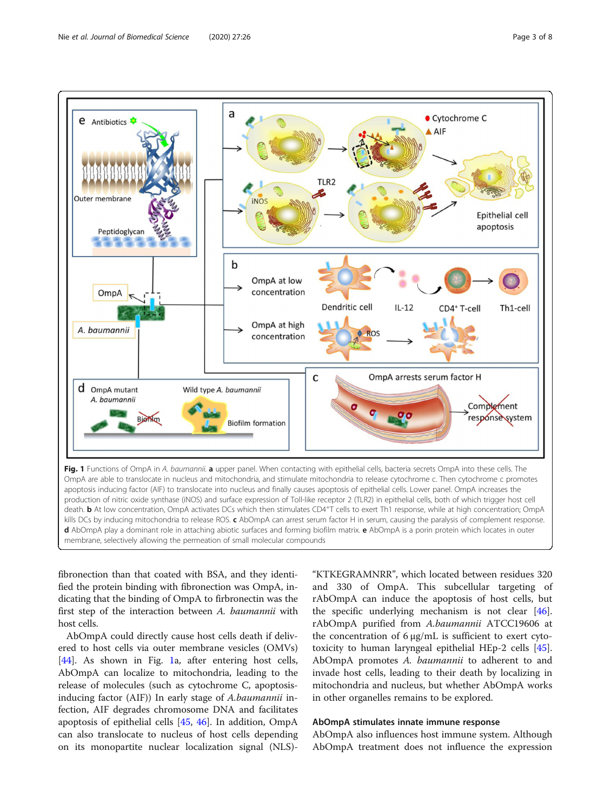<span id="page-2-0"></span>

fibronection than that coated with BSA, and they identified the protein binding with fibronection was OmpA, indicating that the binding of OmpA to firbronectin was the first step of the interaction between A. baumannii with host cells.

AbOmpA could directly cause host cells death if delivered to host cells via outer membrane vesicles (OMVs) [[44\]](#page-6-0). As shown in Fig. 1a, after entering host cells, AbOmpA can localize to mitochondria, leading to the release of molecules (such as cytochrome C, apoptosisinducing factor (AIF)) In early stage of A.baumannii infection, AIF degrades chromosome DNA and facilitates apoptosis of epithelial cells [[45,](#page-6-0) [46](#page-6-0)]. In addition, OmpA can also translocate to nucleus of host cells depending on its monopartite nuclear localization signal (NLS)-

"KTKEGRAMNRR", which located between residues 320 and 330 of OmpA. This subcellular targeting of rAbOmpA can induce the apoptosis of host cells, but the specific underlying mechanism is not clear [\[46](#page-6-0)]. rAbOmpA purified from A.baumannii ATCC19606 at the concentration of 6 μg/mL is sufficient to exert cytotoxicity to human laryngeal epithelial HEp-2 cells [\[45](#page-6-0)]. AbOmpA promotes A. *baumannii* to adherent to and invade host cells, leading to their death by localizing in mitochondria and nucleus, but whether AbOmpA works in other organelles remains to be explored.

# AbOmpA stimulates innate immune response

AbOmpA also influences host immune system. Although AbOmpA treatment does not influence the expression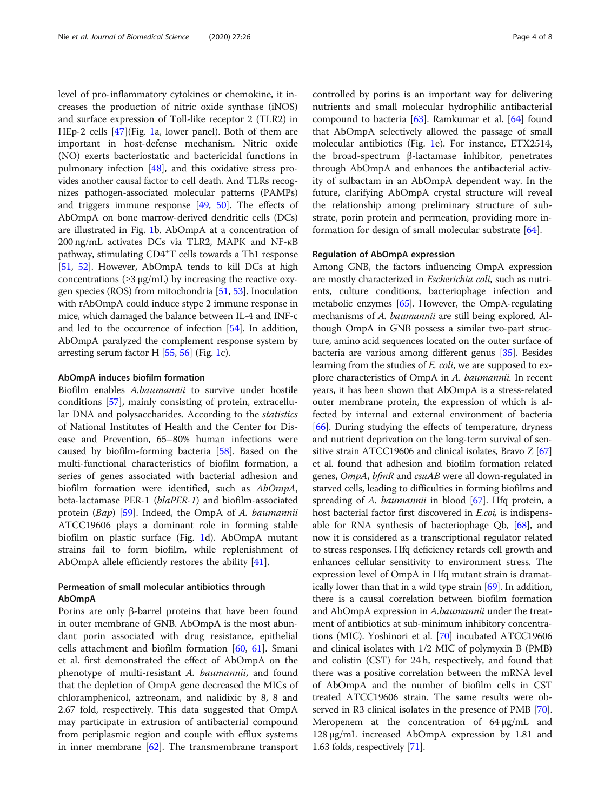level of pro-inflammatory cytokines or chemokine, it increases the production of nitric oxide synthase (iNOS) and surface expression of Toll-like receptor 2 (TLR2) in HEp-2 cells [[47\]](#page-6-0)(Fig. [1](#page-2-0)a, lower panel). Both of them are important in host-defense mechanism. Nitric oxide (NO) exerts bacteriostatic and bactericidal functions in pulmonary infection [[48](#page-6-0)], and this oxidative stress provides another causal factor to cell death. And TLRs recognizes pathogen-associated molecular patterns (PAMPs) and triggers immune response [\[49,](#page-6-0) [50\]](#page-6-0). The effects of AbOmpA on bone marrow-derived dendritic cells (DCs) are illustrated in Fig. [1](#page-2-0)b. AbOmpA at a concentration of 200 ng/mL activates DCs via TLR2, MAPK and NF-κB pathway, stimulating CD4<sup>+</sup>T cells towards a Th1 response [[51](#page-6-0), [52\]](#page-6-0). However, AbOmpA tends to kill DCs at high concentrations ( $\geq$ 3 μg/mL) by increasing the reactive oxygen species (ROS) from mitochondria [\[51,](#page-6-0) [53\]](#page-6-0). Inoculation with rAbOmpA could induce stype 2 immune response in mice, which damaged the balance between IL-4 and INF-c and led to the occurrence of infection [[54](#page-6-0)]. In addition, AbOmpA paralyzed the complement response system by arresting serum factor H [[55](#page-6-0), [56\]](#page-6-0) (Fig. [1](#page-2-0)c).

## AbOmpA induces biofilm formation

Biofilm enables A.baumannii to survive under hostile conditions [\[57\]](#page-7-0), mainly consisting of protein, extracellular DNA and polysaccharides. According to the statistics of National Institutes of Health and the Center for Disease and Prevention, 65–80% human infections were caused by biofilm-forming bacteria [[58](#page-7-0)]. Based on the multi-functional characteristics of biofilm formation, a series of genes associated with bacterial adhesion and biofilm formation were identified, such as AbOmpA, beta-lactamase PER-1 (blaPER-1) and biofilm-associated protein (Bap) [[59\]](#page-7-0). Indeed, the OmpA of A. baumannii ATCC19606 plays a dominant role in forming stable biofilm on plastic surface (Fig. [1d](#page-2-0)). AbOmpA mutant strains fail to form biofilm, while replenishment of AbOmpA allele efficiently restores the ability [[41](#page-6-0)].

# Permeation of small molecular antibiotics through AbOmpA

Porins are only β-barrel proteins that have been found in outer membrane of GNB. AbOmpA is the most abundant porin associated with drug resistance, epithelial cells attachment and biofilm formation [\[60](#page-7-0), [61](#page-7-0)]. Smani et al. first demonstrated the effect of AbOmpA on the phenotype of multi-resistant A. baumannii, and found that the depletion of OmpA gene decreased the MICs of chloramphenicol, aztreonam, and nalidixic by 8, 8 and 2.67 fold, respectively. This data suggested that OmpA may participate in extrusion of antibacterial compound from periplasmic region and couple with efflux systems in inner membrane [\[62\]](#page-7-0). The transmembrane transport

controlled by porins is an important way for delivering nutrients and small molecular hydrophilic antibacterial compound to bacteria [\[63](#page-7-0)]. Ramkumar et al. [[64\]](#page-7-0) found that AbOmpA selectively allowed the passage of small molecular antibiotics (Fig. [1](#page-2-0)e). For instance, ETX2514, the broad-spectrum β-lactamase inhibitor, penetrates through AbOmpA and enhances the antibacterial activity of sulbactam in an AbOmpA dependent way. In the future, clarifying AbOmpA crystal structure will reveal the relationship among preliminary structure of substrate, porin protein and permeation, providing more information for design of small molecular substrate [[64](#page-7-0)].

# Regulation of AbOmpA expression

Among GNB, the factors influencing OmpA expression are mostly characterized in *Escherichia coli*, such as nutrients, culture conditions, bacteriophage infection and metabolic enzymes [\[65](#page-7-0)]. However, the OmpA-regulating mechanisms of A. baumannii are still being explored. Although OmpA in GNB possess a similar two-part structure, amino acid sequences located on the outer surface of bacteria are various among different genus [\[35\]](#page-6-0). Besides learning from the studies of *E. coli*, we are supposed to explore characteristics of OmpA in A. baumannii. In recent years, it has been shown that AbOmpA is a stress-related outer membrane protein, the expression of which is affected by internal and external environment of bacteria [[66](#page-7-0)]. During studying the effects of temperature, dryness and nutrient deprivation on the long-term survival of sen-sitive strain ATCC19606 and clinical isolates, Bravo Z [[67](#page-7-0)] et al. found that adhesion and biofilm formation related genes, OmpA, bfmR and csuAB were all down-regulated in starved cells, leading to difficulties in forming biofilms and spreading of A. baumannii in blood [\[67\]](#page-7-0). Hfq protein, a host bacterial factor first discovered in E.coi, is indispensable for RNA synthesis of bacteriophage Qb, [\[68\]](#page-7-0), and now it is considered as a transcriptional regulator related to stress responses. Hfq deficiency retards cell growth and enhances cellular sensitivity to environment stress. The expression level of OmpA in Hfq mutant strain is dramatically lower than that in a wild type strain [\[69\]](#page-7-0). In addition, there is a causal correlation between biofilm formation and AbOmpA expression in A.baumannii under the treatment of antibiotics at sub-minimum inhibitory concentrations (MIC). Yoshinori et al. [\[70](#page-7-0)] incubated ATCC19606 and clinical isolates with 1/2 MIC of polymyxin B (PMB) and colistin (CST) for 24 h, respectively, and found that there was a positive correlation between the mRNA level of AbOmpA and the number of biofilm cells in CST treated ATCC19606 strain. The same results were observed in R3 clinical isolates in the presence of PMB [[70](#page-7-0)]. Meropenem at the concentration of 64 μg/mL and 128 μg/mL increased AbOmpA expression by 1.81 and 1.63 folds, respectively [[71](#page-7-0)].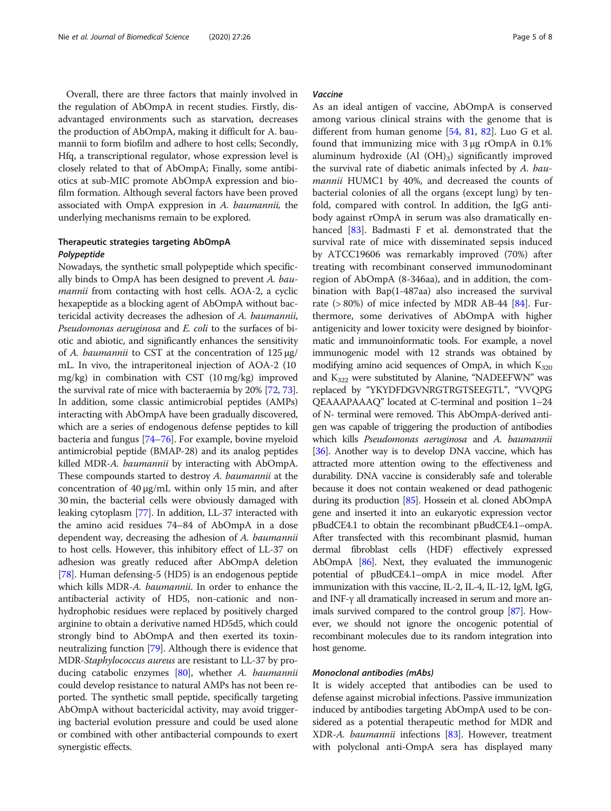Overall, there are three factors that mainly involved in the regulation of AbOmpA in recent studies. Firstly, disadvantaged environments such as starvation, decreases the production of AbOmpA, making it difficult for A. baumannii to form biofilm and adhere to host cells; Secondly, Hfq, a transcriptional regulator, whose expression level is closely related to that of AbOmpA; Finally, some antibiotics at sub-MIC promote AbOmpA expression and biofilm formation. Although several factors have been proved associated with OmpA exppresion in A. baumannii, the underlying mechanisms remain to be explored.

# Therapeutic strategies targeting AbOmpA Polypeptide

Nowadays, the synthetic small polypeptide which specifically binds to OmpA has been designed to prevent A. baumannii from contacting with host cells. AOA-2, a cyclic hexapeptide as a blocking agent of AbOmpA without bactericidal activity decreases the adhesion of A. baumannii, Pseudomonas aeruginosa and E. coli to the surfaces of biotic and abiotic, and significantly enhances the sensitivity of A. baumannii to CST at the concentration of 125 μg/ mL. In vivo, the intraperitoneal injection of AOA-2 (10 mg/kg) in combination with CST (10 mg/kg) improved the survival rate of mice with bacteraemia by 20% [\[72,](#page-7-0) [73](#page-7-0)]. In addition, some classic antimicrobial peptides (AMPs) interacting with AbOmpA have been gradually discovered, which are a series of endogenous defense peptides to kill bacteria and fungus [\[74](#page-7-0)–[76\]](#page-7-0). For example, bovine myeloid antimicrobial peptide (BMAP-28) and its analog peptides killed MDR-A. baumannii by interacting with AbOmpA. These compounds started to destroy A. baumannii at the concentration of 40 μg/mL within only 15 min, and after 30 min, the bacterial cells were obviously damaged with leaking cytoplasm [[77\]](#page-7-0). In addition, LL-37 interacted with the amino acid residues 74–84 of AbOmpA in a dose dependent way, decreasing the adhesion of A. baumannii to host cells. However, this inhibitory effect of LL-37 on adhesion was greatly reduced after AbOmpA deletion [[78](#page-7-0)]. Human defensing-5 (HD5) is an endogenous peptide which kills MDR-A. baumannii. In order to enhance the antibacterial activity of HD5, non-cationic and nonhydrophobic residues were replaced by positively charged arginine to obtain a derivative named HD5d5, which could strongly bind to AbOmpA and then exerted its toxinneutralizing function [\[79](#page-7-0)]. Although there is evidence that MDR-*Staphylococcus aureus* are resistant to LL-37 by pro-ducing catabolic enzymes [\[80](#page-7-0)], whether A. baumannii could develop resistance to natural AMPs has not been reported. The synthetic small peptide, specifically targeting AbOmpA without bactericidal activity, may avoid triggering bacterial evolution pressure and could be used alone or combined with other antibacterial compounds to exert synergistic effects.

# Vaccine

As an ideal antigen of vaccine, AbOmpA is conserved among various clinical strains with the genome that is different from human genome [[54,](#page-6-0) [81](#page-7-0), [82\]](#page-7-0). Luo G et al. found that immunizing mice with 3 μg rOmpA in 0.1% aluminum hydroxide  $(Al (OH)<sub>3</sub>)$  significantly improved the survival rate of diabetic animals infected by A. baumannii HUMC1 by 40%, and decreased the counts of bacterial colonies of all the organs (except lung) by tenfold, compared with control. In addition, the IgG antibody against rOmpA in serum was also dramatically enhanced [\[83](#page-7-0)]. Badmasti F et al. demonstrated that the survival rate of mice with disseminated sepsis induced by ATCC19606 was remarkably improved (70%) after treating with recombinant conserved immunodominant region of AbOmpA (8-346aa), and in addition, the combination with Bap(1-487aa) also increased the survival rate  $(>80\%)$  of mice infected by MDR AB-44 [[84\]](#page-7-0). Furthermore, some derivatives of AbOmpA with higher antigenicity and lower toxicity were designed by bioinformatic and immunoinformatic tools. For example, a novel immunogenic model with 12 strands was obtained by modifying amino acid sequences of OmpA, in which  $K_{320}$ and  $K_{322}$  were substituted by Alanine, "NADEEFWN" was replaced by "YKYDFDGVNRGTRGTSEEGTL", "VVQPG QEAAAPAAAQ" located at C-terminal and position 1–24 of N- terminal were removed. This AbOmpA-derived antigen was capable of triggering the production of antibodies which kills Pseudomonas aeruginosa and A. baumannii [[36](#page-6-0)]. Another way is to develop DNA vaccine, which has attracted more attention owing to the effectiveness and durability. DNA vaccine is considerably safe and tolerable because it does not contain weakened or dead pathogenic during its production [[85](#page-7-0)]. Hossein et al. cloned AbOmpA gene and inserted it into an eukaryotic expression vector pBudCE4.1 to obtain the recombinant pBudCE4.1–ompA. After transfected with this recombinant plasmid, human dermal fibroblast cells (HDF) effectively expressed AbOmpA [[86](#page-7-0)]. Next, they evaluated the immunogenic potential of pBudCE4.1–ompA in mice model. After immunization with this vaccine, IL-2, IL-4, IL-12, IgM, IgG, and INF-γ all dramatically increased in serum and more animals survived compared to the control group [\[87](#page-7-0)]. However, we should not ignore the oncogenic potential of recombinant molecules due to its random integration into host genome.

## Monoclonal antibodies (mAbs)

It is widely accepted that antibodies can be used to defense against microbial infections. Passive immunization induced by antibodies targeting AbOmpA used to be considered as a potential therapeutic method for MDR and XDR-A. *baumannii* infections [\[83\]](#page-7-0). However, treatment with polyclonal anti-OmpA sera has displayed many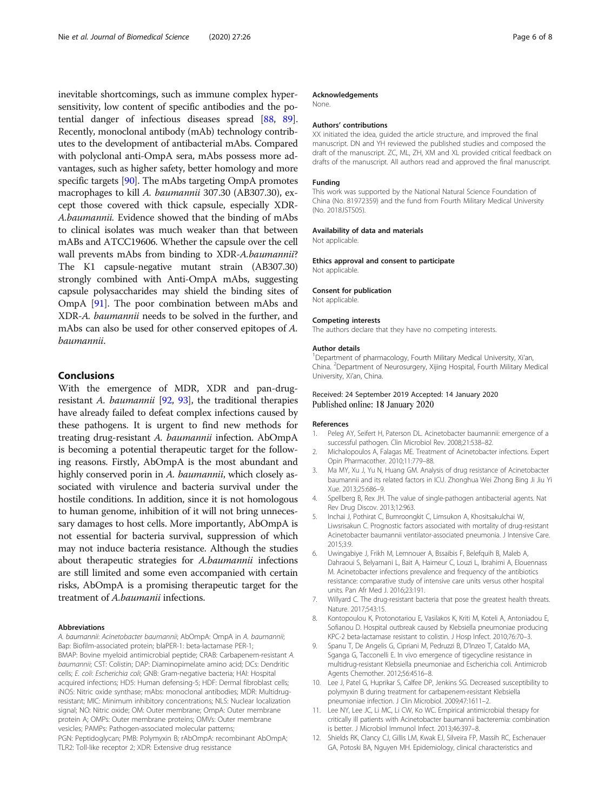<span id="page-5-0"></span>inevitable shortcomings, such as immune complex hypersensitivity, low content of specific antibodies and the potential danger of infectious diseases spread [\[88,](#page-7-0) [89](#page-7-0)]. Recently, monoclonal antibody (mAb) technology contributes to the development of antibacterial mAbs. Compared with polyclonal anti-OmpA sera, mAbs possess more advantages, such as higher safety, better homology and more specific targets [\[90](#page-7-0)]. The mAbs targeting OmpA promotes macrophages to kill A. baumannii 307.30 (AB307.30), except those covered with thick capsule, especially XDR-A.baumannii. Evidence showed that the binding of mAbs to clinical isolates was much weaker than that between mABs and ATCC19606. Whether the capsule over the cell wall prevents mAbs from binding to XDR-A.baumannii? The K1 capsule-negative mutant strain (AB307.30) strongly combined with Anti-OmpA mAbs, suggesting capsule polysaccharides may shield the binding sites of OmpA [[91\]](#page-7-0). The poor combination between mAbs and XDR-A. baumannii needs to be solved in the further, and mAbs can also be used for other conserved epitopes of A. baumannii.

# Conclusions

With the emergence of MDR, XDR and pan-drug-resistant A. baumannii [\[92,](#page-7-0) [93](#page-7-0)], the traditional therapies have already failed to defeat complex infections caused by these pathogens. It is urgent to find new methods for treating drug-resistant A. baumannii infection. AbOmpA is becoming a potential therapeutic target for the following reasons. Firstly, AbOmpA is the most abundant and highly conserved porin in A. baumannii, which closely associated with virulence and bacteria survival under the hostile conditions. In addition, since it is not homologous to human genome, inhibition of it will not bring unnecessary damages to host cells. More importantly, AbOmpA is not essential for bacteria survival, suppression of which may not induce bacteria resistance. Although the studies about therapeutic strategies for A.baumannii infections are still limited and some even accompanied with certain risks, AbOmpA is a promising therapeutic target for the treatment of A.baumanii infections.

#### Abbreviations

A. baumannii: Acinetobacter baumannii; AbOmpA: OmpA in A. baumannii; Bap: Biofilm-associated protein; blaPER-1: beta-lactamase PER-1; BMAP: Bovine myeloid antimicrobial peptide; CRAB: Carbapenem-resistant A. baumannii; CST: Colistin; DAP: Diaminopimelate amino acid; DCs: Dendritic cells; E. coli: Escherichia coli; GNB: Gram-negative bacteria; HAI: Hospital acquired infections; HD5: Human defensing-5; HDF: Dermal fibroblast cells; iNOS: Nitric oxide synthase; mAbs: monoclonal antibodies; MDR: Multidrugresistant; MIC: Minimum inhibitory concentrations; NLS: Nuclear localization signal; NO: Nitric oxide; OM: Outer membrane; OmpA: Outer membrane protein A; OMPs: Outer membrane proteins; OMVs: Outer membrane vesicles; PAMPs: Pathogen-associated molecular patterns; PGN: Peptidoglycan; PMB: Polymyxin B; rAbOmpA: recombinant AbOmpA; TLR2: Toll-like receptor 2; XDR: Extensive drug resistance

#### Acknowledgements

None.

#### Authors' contributions

XX initiated the idea, guided the article structure, and improved the final manuscript. DN and YH reviewed the published studies and composed the draft of the manuscript. ZC, ML, ZH, XM and XL provided critical feedback on drafts of the manuscript. All authors read and approved the final manuscript.

#### Funding

This work was supported by the National Natural Science Foundation of China (No. 81972359) and the fund from Fourth Military Medical University (No. 2018JSTS05).

#### Availability of data and materials

Not applicable.

Ethics approval and consent to participate Not applicable.

Consent for publication

Not applicable.

#### Competing interests

The authors declare that they have no competing interests.

#### Author details

<sup>1</sup>Department of pharmacology, Fourth Military Medical University, Xi'an, China. <sup>2</sup> Department of Neurosurgery, Xijing Hospital, Fourth Military Medical University, Xi'an, China.

#### Received: 24 September 2019 Accepted: 14 January 2020 Published online: 18 January 2020

#### References

- 1. Peleg AY, Seifert H, Paterson DL. Acinetobacter baumannii: emergence of a successful pathogen. Clin Microbiol Rev. 2008;21:538–82.
- 2. Michalopoulos A, Falagas ME. Treatment of Acinetobacter infections. Expert Opin Pharmacother. 2010;11:779–88.
- 3. Ma MY, Xu J, Yu N, Huang GM. Analysis of drug resistance of Acinetobacter baumannii and its related factors in ICU. Zhonghua Wei Zhong Bing Ji Jiu Yi Xue. 2013;25:686–9.
- 4. Spellberg B, Rex JH. The value of single-pathogen antibacterial agents. Nat Rev Drug Discov. 2013;12:963.
- 5. Inchai J, Pothirat C, Bumroongkit C, Limsukon A, Khositsakulchai W, Liwsrisakun C. Prognostic factors associated with mortality of drug-resistant Acinetobacter baumannii ventilator-associated pneumonia. J Intensive Care. 2015;3:9.
- 6. Uwingabiye J, Frikh M, Lemnouer A, Bssaibis F, Belefquih B, Maleb A, Dahraoui S, Belyamani L, Bait A, Haimeur C, Louzi L, Ibrahimi A, Elouennass M. Acinetobacter infections prevalence and frequency of the antibiotics resistance: comparative study of intensive care units versus other hospital units. Pan Afr Med J. 2016;23:191.
- 7. Willyard C. The drug-resistant bacteria that pose the greatest health threats. Nature. 2017;543:15.
- 8. Kontopoulou K, Protonotariou E, Vasilakos K, Kriti M, Koteli A, Antoniadou E, Sofianou D. Hospital outbreak caused by Klebsiella pneumoniae producing KPC-2 beta-lactamase resistant to colistin. J Hosp Infect. 2010;76:70–3.
- 9. Spanu T, De Angelis G, Cipriani M, Pedruzzi B, D'Inzeo T, Cataldo MA, Sganga G, Tacconelli E. In vivo emergence of tigecycline resistance in multidrug-resistant Klebsiella pneumoniae and Escherichia coli. Antimicrob Agents Chemother. 2012;56:4516–8.
- 10. Lee J, Patel G, Huprikar S, Calfee DP, Jenkins SG. Decreased susceptibility to polymyxin B during treatment for carbapenem-resistant Klebsiella pneumoniae infection. J Clin Microbiol. 2009;47:1611–2.
- 11. Lee NY, Lee JC, Li MC, Li CW, Ko WC. Empirical antimicrobial therapy for critically ill patients with Acinetobacter baumannii bacteremia: combination is better. J Microbiol Immunol Infect. 2013;46:397–8.
- 12. Shields RK, Clancy CJ, Gillis LM, Kwak EJ, Silveira FP, Massih RC, Eschenauer GA, Potoski BA, Nguyen MH. Epidemiology, clinical characteristics and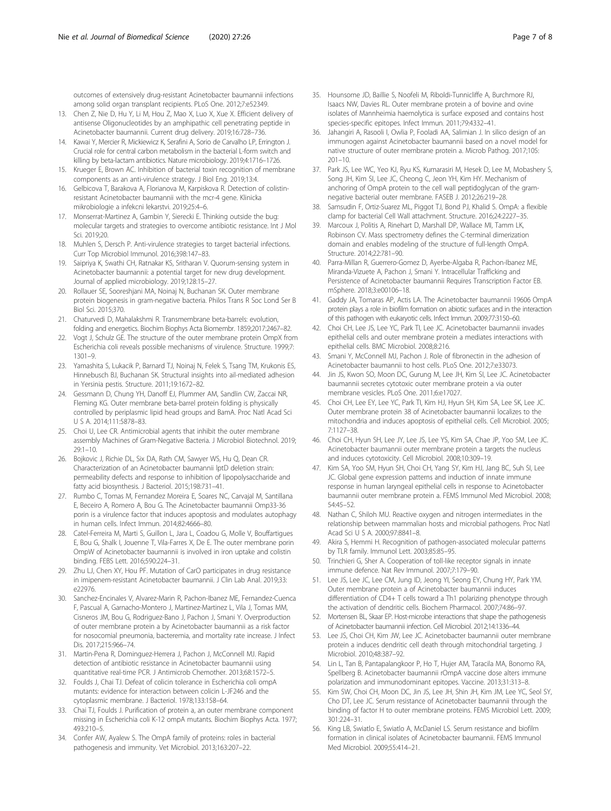<span id="page-6-0"></span>outcomes of extensively drug-resistant Acinetobacter baumannii infections among solid organ transplant recipients. PLoS One. 2012;7:e52349.

- 13. Chen Z, Nie D, Hu Y, Li M, Hou Z, Mao X, Luo X, Xue X. Efficient delivery of antisense Oligonucleotides by an amphipathic cell penetrating peptide in Acinetobacter baumannii. Current drug delivery. 2019;16:728–736.
- 14. Kawai Y, Mercier R, Mickiewicz K, Serafini A, Sorio de Carvalho LP, Errington J. Crucial role for central carbon metabolism in the bacterial L-form switch and killing by beta-lactam antibiotics. Nature microbiology. 2019;4:1716–1726.
- 15. Krueger E, Brown AC. Inhibition of bacterial toxin recognition of membrane components as an anti-virulence strategy. J Biol Eng. 2019;13:4.
- 16. Gelbicova T, Barakova A, Florianova M, Karpiskova R. Detection of colistinresistant Acinetobacter baumannii with the mcr-4 gene. Klinicka mikrobiologie a infekcni lekarstvi. 2019;25:4–6.
- 17. Monserrat-Martinez A, Gambin Y, Sierecki E. Thinking outside the bug: molecular targets and strategies to overcome antibiotic resistance. Int J Mol Sci. 2019;20.
- 18. Muhlen S, Dersch P. Anti-virulence strategies to target bacterial infections. Curr Top Microbiol Immunol. 2016;398:147–83.
- 19. Saipriya K, Swathi CH, Ratnakar KS, Sritharan V. Quorum-sensing system in Acinetobacter baumannii: a potential target for new drug development. Journal of applied microbiology. 2019;128:15–27.
- 20. Rollauer SE, Sooreshjani MA, Noinaj N, Buchanan SK. Outer membrane protein biogenesis in gram-negative bacteria. Philos Trans R Soc Lond Ser B Biol Sci. 2015;370.
- 21. Chaturvedi D, Mahalakshmi R. Transmembrane beta-barrels: evolution, folding and energetics. Biochim Biophys Acta Biomembr. 1859;2017:2467–82.
- 22. Vogt J, Schulz GE. The structure of the outer membrane protein OmpX from Escherichia coli reveals possible mechanisms of virulence. Structure. 1999;7: 1301–9.
- 23. Yamashita S, Lukacik P, Barnard TJ, Noinaj N, Felek S, Tsang TM, Krukonis ES, Hinnebusch BJ, Buchanan SK. Structural insights into ail-mediated adhesion in Yersinia pestis. Structure. 2011;19:1672–82.
- 24. Gessmann D, Chung YH, Danoff EJ, Plummer AM, Sandlin CW, Zaccai NR, Fleming KG. Outer membrane beta-barrel protein folding is physically controlled by periplasmic lipid head groups and BamA. Proc Natl Acad Sci U S A. 2014;111:5878–83.
- 25. Choi U, Lee CR. Antimicrobial agents that inhibit the outer membrane assembly Machines of Gram-Negative Bacteria. J Microbiol Biotechnol. 2019; 29:1–10.
- 26. Bojkovic J, Richie DL, Six DA, Rath CM, Sawyer WS, Hu Q, Dean CR. Characterization of an Acinetobacter baumannii lptD deletion strain: permeability defects and response to inhibition of lipopolysaccharide and fatty acid biosynthesis. J Bacteriol. 2015;198:731–41.
- 27. Rumbo C, Tomas M, Fernandez Moreira E, Soares NC, Carvajal M, Santillana E, Beceiro A, Romero A, Bou G. The Acinetobacter baumannii Omp33-36 porin is a virulence factor that induces apoptosis and modulates autophagy in human cells. Infect Immun. 2014;82:4666–80.
- 28. Catel-Ferreira M, Marti S, Guillon L, Jara L, Coadou G, Molle V, Bouffartigues E, Bou G, Shalk I, Jouenne T, Vila-Farres X, De E. The outer membrane porin OmpW of Acinetobacter baumannii is involved in iron uptake and colistin binding. FEBS Lett. 2016;590:224–31.
- 29. Zhu LJ, Chen XY, Hou PF. Mutation of CarO participates in drug resistance in imipenem-resistant Acinetobacter baumannii. J Clin Lab Anal. 2019;33: e22976.
- 30. Sanchez-Encinales V, Alvarez-Marin R, Pachon-Ibanez ME, Fernandez-Cuenca F, Pascual A, Garnacho-Montero J, Martinez-Martinez L, Vila J, Tomas MM, Cisneros JM, Bou G, Rodriguez-Bano J, Pachon J, Smani Y. Overproduction of outer membrane protein a by Acinetobacter baumannii as a risk factor for nosocomial pneumonia, bacteremia, and mortality rate increase. J Infect Dis. 2017;215:966–74.
- 31. Martin-Pena R, Dominguez-Herrera J, Pachon J, McConnell MJ. Rapid detection of antibiotic resistance in Acinetobacter baumannii using quantitative real-time PCR. J Antimicrob Chemother. 2013;68:1572–5.
- 32. Foulds J, Chai TJ. Defeat of colicin tolerance in Escherichia coli ompA mutants: evidence for interaction between colicin L-JF246 and the cytoplasmic membrane. J Bacteriol. 1978;133:158–64.
- 33. Chai TJ, Foulds J. Purification of protein a, an outer membrane component missing in Escherichia coli K-12 ompA mutants. Biochim Biophys Acta. 1977; 493:210–5.
- 34. Confer AW, Ayalew S. The OmpA family of proteins: roles in bacterial pathogenesis and immunity. Vet Microbiol. 2013;163:207–22.
- 35. Hounsome JD, Baillie S, Noofeli M, Riboldi-Tunnicliffe A, Burchmore RJ, Isaacs NW, Davies RL. Outer membrane protein a of bovine and ovine isolates of Mannheimia haemolytica is surface exposed and contains host species-specific epitopes. Infect Immun. 2011;79:4332–41.
- 36. Jahangiri A, Rasooli I, Owlia P, Fooladi AA, Salimian J. In silico design of an immunogen against Acinetobacter baumannii based on a novel model for native structure of outer membrane protein a. Microb Pathog. 2017;105: 201–10.
- 37. Park JS, Lee WC, Yeo KJ, Ryu KS, Kumarasiri M, Hesek D, Lee M, Mobashery S, Song JH, Kim SI, Lee JC, Cheong C, Jeon YH, Kim HY. Mechanism of anchoring of OmpA protein to the cell wall peptidoglycan of the gramnegative bacterial outer membrane. FASEB J. 2012;26:219–28.
- 38. Samsudin F, Ortiz-Suarez ML, Piggot TJ, Bond PJ, Khalid S. OmpA: a flexible clamp for bacterial Cell Wall attachment. Structure. 2016;24:2227–35.
- 39. Marcoux J, Politis A, Rinehart D, Marshall DP, Wallace MI, Tamm LK, Robinson CV. Mass spectrometry defines the C-terminal dimerization domain and enables modeling of the structure of full-length OmpA. Structure. 2014;22:781–90.
- 40. Parra-Millan R, Guerrero-Gomez D, Ayerbe-Algaba R, Pachon-Ibanez ME, Miranda-Vizuete A, Pachon J, Smani Y. Intracellular Trafficking and Persistence of Acinetobacter baumannii Requires Transcription Factor EB. mSphere. 2018;3:e00106–18.
- 41. Gaddy JA, Tomaras AP, Actis LA. The Acinetobacter baumannii 19606 OmpA protein plays a role in biofilm formation on abiotic surfaces and in the interaction of this pathogen with eukaryotic cells. Infect Immun. 2009;77:3150–60.
- 42. Choi CH, Lee JS, Lee YC, Park TI, Lee JC. Acinetobacter baumannii invades epithelial cells and outer membrane protein a mediates interactions with epithelial cells. BMC Microbiol. 2008;8:216.
- 43. Smani Y, McConnell MJ, Pachon J. Role of fibronectin in the adhesion of Acinetobacter baumannii to host cells. PLoS One. 2012;7:e33073.
- 44. Jin JS, Kwon SO, Moon DC, Gurung M, Lee JH, Kim SI, Lee JC. Acinetobacter baumannii secretes cytotoxic outer membrane protein a via outer membrane vesicles. PLoS One. 2011;6:e17027.
- 45. Choi CH, Lee EY, Lee YC, Park TI, Kim HJ, Hyun SH, Kim SA, Lee SK, Lee JC. Outer membrane protein 38 of Acinetobacter baumannii localizes to the mitochondria and induces apoptosis of epithelial cells. Cell Microbiol. 2005; 7:1127–38.
- 46. Choi CH, Hyun SH, Lee JY, Lee JS, Lee YS, Kim SA, Chae JP, Yoo SM, Lee JC. Acinetobacter baumannii outer membrane protein a targets the nucleus and induces cytotoxicity. Cell Microbiol. 2008;10:309–19.
- 47. Kim SA, Yoo SM, Hyun SH, Choi CH, Yang SY, Kim HJ, Jang BC, Suh SI, Lee JC. Global gene expression patterns and induction of innate immune response in human laryngeal epithelial cells in response to Acinetobacter baumannii outer membrane protein a. FEMS Immunol Med Microbiol. 2008; 54:45–52.
- 48. Nathan C, Shiloh MU. Reactive oxygen and nitrogen intermediates in the relationship between mammalian hosts and microbial pathogens. Proc Natl Acad Sci U S A. 2000;97:8841–8.
- 49. Akira S, Hemmi H. Recognition of pathogen-associated molecular patterns by TLR family. Immunol Lett. 2003;85:85–95.
- 50. Trinchieri G, Sher A. Cooperation of toll-like receptor signals in innate immune defence. Nat Rev Immunol. 2007;7:179–90.
- 51. Lee JS, Lee JC, Lee CM, Jung ID, Jeong YI, Seong EY, Chung HY, Park YM. Outer membrane protein a of Acinetobacter baumannii induces differentiation of CD4+ T cells toward a Th1 polarizing phenotype through the activation of dendritic cells. Biochem Pharmacol. 2007;74:86–97.
- 52. Mortensen BL, Skaar EP. Host-microbe interactions that shape the pathogenesis of Acinetobacter baumannii infection. Cell Microbiol. 2012;14:1336–44.
- 53. Lee JS, Choi CH, Kim JW, Lee JC. Acinetobacter baumannii outer membrane protein a induces dendritic cell death through mitochondrial targeting. J Microbiol. 2010;48:387–92.
- 54. Lin L, Tan B, Pantapalangkoor P, Ho T, Hujer AM, Taracila MA, Bonomo RA, Spellberg B. Acinetobacter baumannii rOmpA vaccine dose alters immune polarization and immunodominant epitopes. Vaccine. 2013;31:313–8.
- 55. Kim SW, Choi CH, Moon DC, Jin JS, Lee JH, Shin JH, Kim JM, Lee YC, Seol SY, Cho DT, Lee JC. Serum resistance of Acinetobacter baumannii through the binding of factor H to outer membrane proteins. FEMS Microbiol Lett. 2009; 301:224–31.
- 56. King LB, Swiatlo E, Swiatlo A, McDaniel LS. Serum resistance and biofilm formation in clinical isolates of Acinetobacter baumannii. FEMS Immunol Med Microbiol. 2009;55:414–21.